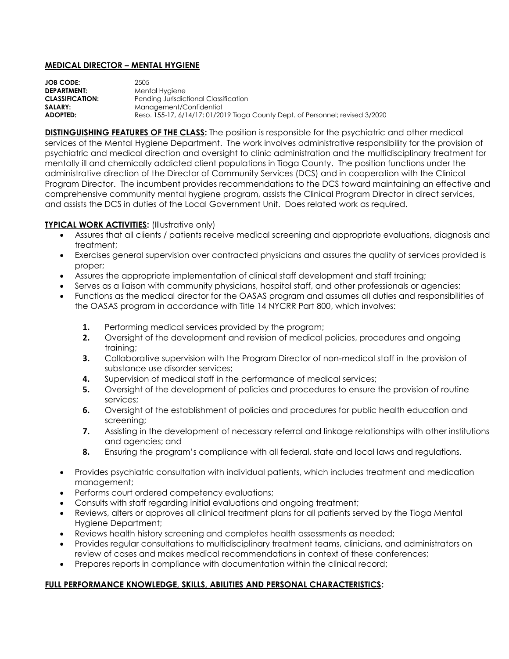## **MEDICAL DIRECTOR – MENTAL HYGIENE**

| <b>JOB CODE:</b>       | 2505                                                                           |
|------------------------|--------------------------------------------------------------------------------|
| <b>DEPARTMENT:</b>     | Mental Hygiene                                                                 |
| <b>CLASSIFICATION:</b> | Pending Jurisdictional Classification                                          |
| <b>SALARY:</b>         | Management/Confidential                                                        |
| ADOPTED:               | Reso. 155-17, 6/14/17; 01/2019 Tioga County Dept. of Personnel; revised 3/2020 |
|                        |                                                                                |

**DISTINGUISHING FEATURES OF THE CLASS:** The position is responsible for the psychiatric and other medical services of the Mental Hygiene Department. The work involves administrative responsibility for the provision of psychiatric and medical direction and oversight to clinic administration and the multidisciplinary treatment for mentally ill and chemically addicted client populations in Tioga County. The position functions under the administrative direction of the Director of Community Services (DCS) and in cooperation with the Clinical Program Director. The incumbent provides recommendations to the DCS toward maintaining an effective and comprehensive community mental hygiene program, assists the Clinical Program Director in direct services, and assists the DCS in duties of the Local Government Unit. Does related work as required.

## **TYPICAL WORK ACTIVITIES: (Illustrative only)**

- Assures that all clients / patients receive medical screening and appropriate evaluations, diagnosis and treatment;
- Exercises general supervision over contracted physicians and assures the quality of services provided is proper;
- Assures the appropriate implementation of clinical staff development and staff training;
- Serves as a liaison with community physicians, hospital staff, and other professionals or agencies;
- Functions as the medical director for the OASAS program and assumes all duties and responsibilities of the OASAS program in accordance with Title 14 NYCRR Part 800, which involves:
	- **1.** Performing medical services provided by the program;
	- **2.** Oversight of the development and revision of medical policies, procedures and ongoing training;
	- **3.** Collaborative supervision with the Program Director of non-medical staff in the provision of substance use disorder services;
	- **4.** Supervision of medical staff in the performance of medical services;
	- **5.** Oversight of the development of policies and procedures to ensure the provision of routine services;
	- **6.** Oversight of the establishment of policies and procedures for public health education and screening;
	- **7.** Assisting in the development of necessary referral and linkage relationships with other institutions and agencies; and
	- **8.** Ensuring the program's compliance with all federal, state and local laws and regulations.
- Provides psychiatric consultation with individual patients, which includes treatment and medication management;
- **•** Performs court ordered competency evaluations;
- Consults with staff regarding initial evaluations and ongoing treatment;
- Reviews, alters or approves all clinical treatment plans for all patients served by the Tioga Mental Hygiene Department;
- Reviews health history screening and completes health assessments as needed;
- Provides regular consultations to multidisciplinary treatment teams, clinicians, and administrators on review of cases and makes medical recommendations in context of these conferences;
- Prepares reports in compliance with documentation within the clinical record;

## **FULL PERFORMANCE KNOWLEDGE, SKILLS, ABILITIES AND PERSONAL CHARACTERISTICS:**